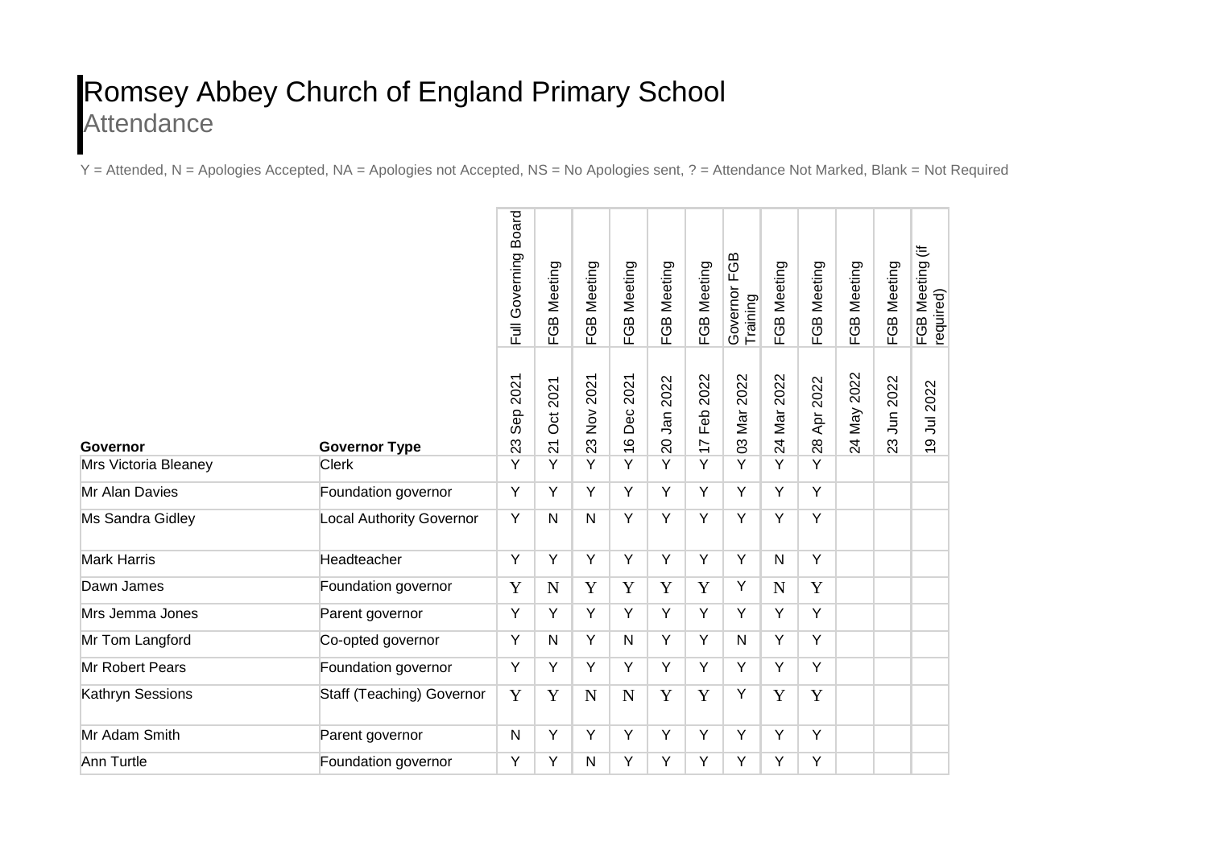## Romsey Abbey Church of England Primary School **Attendance**

Y = Attended, N = Apologies Accepted, NA = Apologies not Accepted, NS = No Apologies sent, ? = Attendance Not Marked, Blank = Not Required

|                      |                                 | <b>Board</b><br>Full Governing | Meeting<br>EGB                        | Meeting<br>FGB                                           | Meeting<br>EGB               | FGB Meeting    | Meeting<br>FGB                | FGB<br>Governor F<br>Training | FGB Meeting    | Meeting<br>FGB    | FGB Meeting | FGB Meeting      | き<br>Meeting<br>FGB Mee<br>required)             |
|----------------------|---------------------------------|--------------------------------|---------------------------------------|----------------------------------------------------------|------------------------------|----------------|-------------------------------|-------------------------------|----------------|-------------------|-------------|------------------|--------------------------------------------------|
| Governor             | <b>Governor Type</b>            | 2021<br>Sep<br>23              | 2021<br><b>Oct</b><br>$\overline{21}$ | 2021<br>$\stackrel{\textstyle{>}}{\textstyle\sim}$<br>23 | 2021<br>Dec<br>$\frac{6}{5}$ | 2022<br>20 Jan | 2022<br>Feb<br>$\overline{1}$ | 2022<br>03 Mar                | 2022<br>24 Mar | 2022<br>Apr<br>28 | 24 May 2022 | 2022<br>23 Jun 2 | Jul 2022<br>$\infty$<br>$\overline{\phantom{0}}$ |
| Mrs Victoria Bleaney | <b>Clerk</b>                    | Y                              | Y                                     | Y                                                        | Y                            | Y              | Y                             | Y                             | Y              | Y                 |             |                  |                                                  |
| Mr Alan Davies       | Foundation governor             | Y                              | Y                                     | Y                                                        | Y                            | Y              | Y                             | Y                             | Y              | Y                 |             |                  |                                                  |
| Ms Sandra Gidley     | <b>Local Authority Governor</b> | Υ                              | ${\sf N}$                             | $\mathsf{N}$                                             | Υ                            | Υ              | Y                             | Y                             | Υ              | Y                 |             |                  |                                                  |
| <b>Mark Harris</b>   | Headteacher                     | Y                              | Y                                     | Υ                                                        | Y                            | Y              | Y                             | Y                             | $\mathsf{N}$   | Y                 |             |                  |                                                  |
| Dawn James           | Foundation governor             | Y                              | $\mathbf N$                           | Y                                                        | Y                            | Y              | Y                             | Y                             | $\mathbf N$    | Y                 |             |                  |                                                  |
| Mrs Jemma Jones      | Parent governor                 | Y                              | Y                                     | Υ                                                        | Y                            | Y              | Y                             | Y                             | Y              | Y                 |             |                  |                                                  |
| Mr Tom Langford      | Co-opted governor               | Y                              | N                                     | Υ                                                        | N                            | Y              | Y                             | N                             | Y              | Y                 |             |                  |                                                  |
| Mr Robert Pears      | Foundation governor             | Y                              | Y                                     | Y                                                        | Y                            | Y              | Y                             | Y                             | Y              | Y                 |             |                  |                                                  |
| Kathryn Sessions     | Staff (Teaching) Governor       | Y                              | Y                                     | N                                                        | N                            | Y              | Y                             | Y                             | Y              | Y                 |             |                  |                                                  |
| Mr Adam Smith        | Parent governor                 | N                              | Y                                     | Y                                                        | Y                            | Y              | Y                             | Y                             | Y              | Y                 |             |                  |                                                  |
| Ann Turtle           | Foundation governor             | Υ                              | Υ                                     | N                                                        | Υ                            | Υ              | Υ                             | Υ                             | Υ              | Υ                 |             |                  |                                                  |